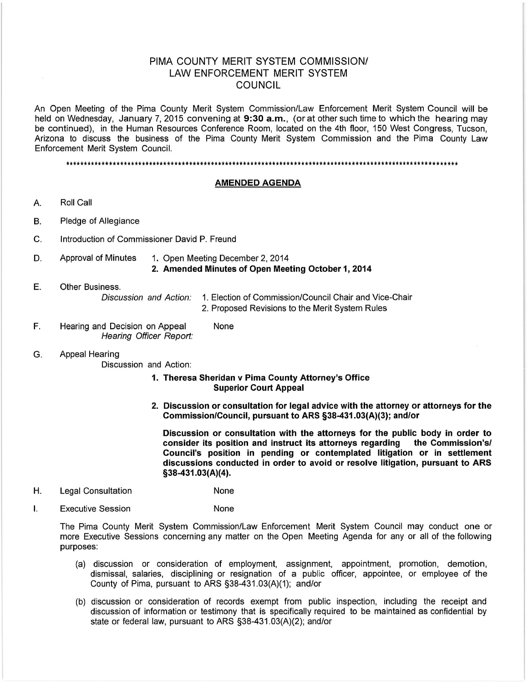# PIMA COUNTY MERIT SYSTEM COMMISSION/ **LAW ENFORCEMENT MERIT SYSTEM** COUNCIL

An Open Meeting of the Pima County Merit System Commission/Law Enforcement Merit System Council will be held on Wednesday, January 7, 2015 convening at 9:30 a.m., (or at other such time to which the hearing may be continued), in the Human Resources Conference Room, located on the 4th floor, 150 West Congress, Tucson, Arizona to discuss the business of the Pima County Merit System Commission and the Pima County Law Enforcement Merit System Council.

#### 

#### **AMENDED AGENDA**

- Roll Call А.
- Pledge of Allegiance Β.
- C. Introduction of Commissioner David P. Freund
- **Approval of Minutes** 1. Open Meeting December 2, 2014 D. 2. Amended Minutes of Open Meeting October 1, 2014
- Ε. Other Business. Discussion and Action: 1. Election of Commission/Council Chair and Vice-Chair
	- 2. Proposed Revisions to the Merit System Rules
- F. Hearing and Decision on Appeal None Hearing Officer Report:
- **Appeal Hearing** G.

Discussion and Action:

## 1. Theresa Sheridan v Pima County Attorney's Office **Superior Court Appeal**

2. Discussion or consultation for legal advice with the attorney or attorneys for the Commission/Council, pursuant to ARS §38-431.03(A)(3); and/or

Discussion or consultation with the attorneys for the public body in order to consider its position and instruct its attorneys regarding the Commission's/ Council's position in pending or contemplated litigation or in settlement discussions conducted in order to avoid or resolve litigation, pursuant to ARS §38-431.03(A)(4).

- Η. **Legal Consultation** None
- T. **Executive Session** None

The Pima County Merit System Commission/Law Enforcement Merit System Council may conduct one or more Executive Sessions concerning any matter on the Open Meeting Agenda for any or all of the following purposes:

- (a) discussion or consideration of employment, assignment, appointment, promotion, demotion, dismissal, salaries, disciplining or resignation of a public officer, appointee, or employee of the County of Pima, pursuant to ARS §38-431.03(A)(1); and/or
- (b) discussion or consideration of records exempt from public inspection, including the receipt and discussion of information or testimony that is specifically required to be maintained as confidential by state or federal law, pursuant to ARS §38-431.03(A)(2); and/or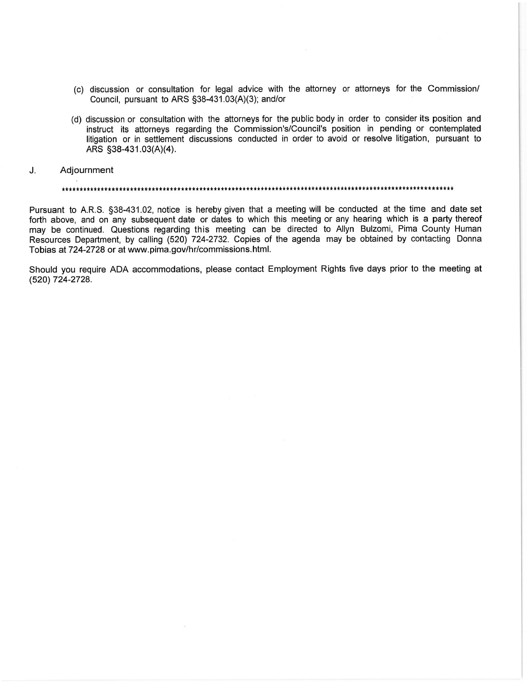- (c) discussion or consultation for legal advice with the attorney or attorneys for the Commission/ Council, pursuant to ARS §38-431.03(A)(3); and/or
- (d) discussion or consultation with the attorneys for the public body in order to consider its position and instruct its attorneys regarding the Commission's/Council's position in pending or contemplated litigation or in settlement discussions conducted in order to avoid or resolve litigation, pursuant to ARS §38-431.03(A)(4).
- J. Adjournment

Pursuant to A.R.S. §38-431.02, notice is hereby given that a meeting will be conducted at the time and date set forth above, and on any subsequent date or dates to which this meeting or any hearing which is a party thereof may be continued. Questions regarding this meeting can be directed to Allyn Bulzomi, Pima County Human Resources Department, by calling (520) 724-2732. Copies of the agenda may be obtained by contacting Donna Tobias at 724-2728 or at www.pima.gov/hr/commissions.html.

Should you require ADA accommodations, please contact Employment Rights five days prior to the meeting at (520) 724-2728.